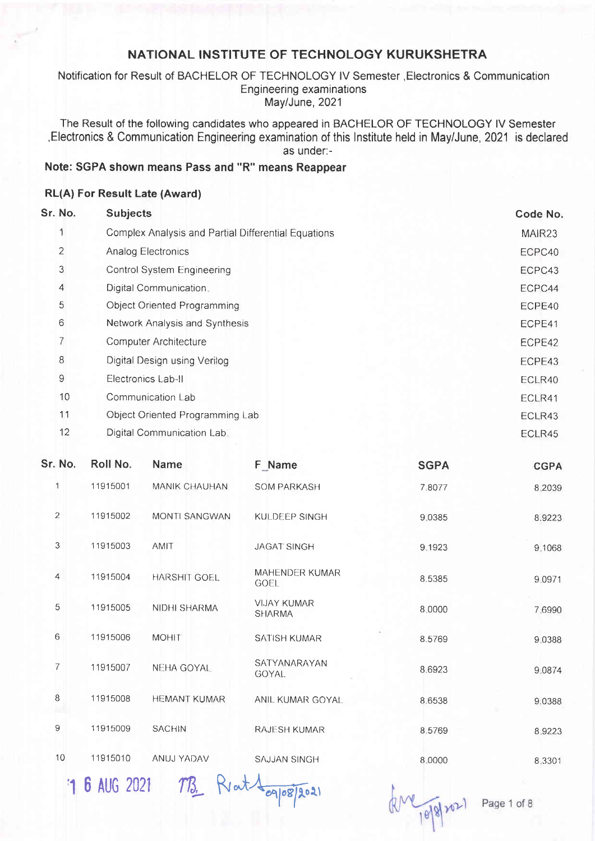Notification for Result of BACHELOR OF TECHNOLOGY lV Semester ,Electronics & Communication Engineering examinations May/June, 2021

The Result of the following candidates who appeared in BACHELOR OF TECHNOLOGY lV Semester ,Electronics & Communication Engineering examination of this lnstitute held in May/June,2021 is declared as under.-

### Note: SGPA shown means Pass and "R" means Reappear

#### RL(A) For Result Late (Award)

| Sr. No. | <b>Subjects</b>                                     | Code No.           |
|---------|-----------------------------------------------------|--------------------|
|         | Complex Analysis and Partial Differential Equations | MAIR <sub>23</sub> |
| 2       | <b>Analog Electronics</b>                           | ECPC40             |
| 3       | <b>Control System Engineering</b>                   | ECPC43             |
| 4       | Digital Communication.                              | ECPC44             |
| 5       | <b>Object Oriented Programming</b>                  | ECPE40             |
| 6       | Network Analysis and Synthesis                      | ECPE41             |
| 7       | <b>Computer Architecture</b>                        | ECPE42             |
| 8       | Digital Design using Verilog                        | ECPE43             |
| 9       | Electronics Lab-II                                  | ECLR40             |
| 10      | Communication Lab                                   | ECLR41             |
| 11      | Object Oriented Programming Lab                     | ECLR43             |
| 12      | Digital Communication Lab.                          | ECLR45             |

| Sr. No.        | Roll No. | Name                 | F Name                              | <b>SGPA</b> | <b>CGPA</b> |
|----------------|----------|----------------------|-------------------------------------|-------------|-------------|
| 1              | 11915001 | MANIK CHAUHAN        | <b>SOM PARKASH</b>                  | 7.8077      | 8.2039      |
| $\overline{2}$ | 11915002 | <b>MONTI SANGWAN</b> | KULDEEP SINGH                       | 9.0385      | 8.9223      |
| 3              | 11915003 | <b>AMIT</b>          | <b>JAGAT SINGH</b>                  | 9.1923      | 9.1068      |
| $\overline{4}$ | 11915004 | <b>HARSHIT GOEL</b>  | MAHENDER KUMAR<br>GOEL              | 8.5385      | 9.0971      |
| 5              | 11915005 | NIDHI SHARMA         | <b>VIJAY KUMAR</b><br><b>SHARMA</b> | 8,0000      | 7.6990      |
| 6              | 11915006 | <b>MOHIT</b>         | <b>SATISH KUMAR</b>                 | 8.5769      | 9.0388      |
| $\overline{7}$ | 11915007 | NEHA GOYAL           | SATYANARAYAN<br>GOYAL.              | 8.6923      | 9.0874      |
| $\,8\,$        | 11915008 | <b>HEMANT KUMAR</b>  | ANIL KUMAR GOYAL                    | 8.6538      | 9.0388      |
| 9              | 11915009 | <b>SACHIN</b>        | <b>RAJESH KUMAR</b>                 | 8.5769      | 8.9223      |
| 10             | 11915010 | ANUJ YADAV           | <b>SAJJAN SINGH</b>                 | 8.0000      | 8.3301      |
|                |          |                      |                                     |             |             |

'1 6 AUG 2021 MB. Rat Aggres/2021

 $k^{\text{M}}$  10/8/2021

Page 1 of 8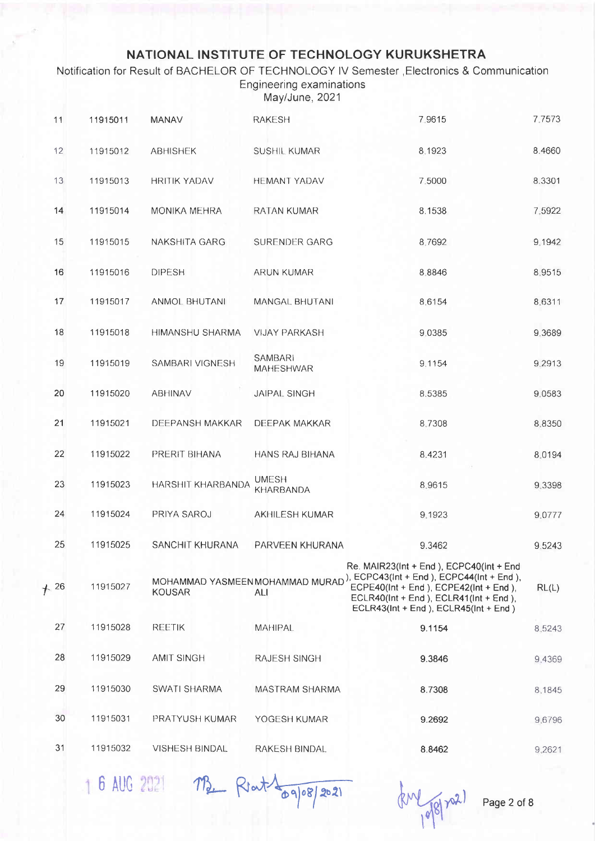Notification for Result of BACHELOR OF TECHNOLOGY lV Semester ,Electronics & Communication Engineering examinations May/June, 2021

| 11    | 11915011 | <b>MANAV</b>           | <b>RAKESH</b>                      | 7.9615                                                                                                                                                                                                                                                       | 7.7573 |
|-------|----------|------------------------|------------------------------------|--------------------------------------------------------------------------------------------------------------------------------------------------------------------------------------------------------------------------------------------------------------|--------|
| 12    | 11915012 | <b>ABHISHEK</b>        | SUSHIL KUMAR                       | 8.1923                                                                                                                                                                                                                                                       | 8.4660 |
| 13    | 11915013 | <b>HRITIK YADAV</b>    | <b>HEMANT YADAV</b>                | 7.5000                                                                                                                                                                                                                                                       | 8.3301 |
| 14    | 11915014 | <b>MONIKA MEHRA</b>    | <b>RATAN KUMAR</b>                 | 8.1538                                                                                                                                                                                                                                                       | 7,5922 |
| 15    | 11915015 | NAKSHITA GARG          | SURENDER GARG                      | 8,7692                                                                                                                                                                                                                                                       | 9.1942 |
| 16    | 11915016 | <b>DIPESH</b>          | ARUN KUMAR                         | 8.8846                                                                                                                                                                                                                                                       | 8.9515 |
| 17    | 11915017 | ANMOL BHUTANI          | MANGAL BHUTANI                     | 8,6154                                                                                                                                                                                                                                                       | 8.6311 |
| 18    | 11915018 | HIMANSHU SHARMA        | <b>VIJAY PARKASH</b>               | 9.0385                                                                                                                                                                                                                                                       | 9.3689 |
| 19    | 11915019 | SAMBARI VIGNESH        | <b>SAMBARI</b><br><b>MAHESHWAR</b> | 9.1154                                                                                                                                                                                                                                                       | 9.2913 |
| 20    | 11915020 | ABHINAV                | <b>JAIPAL SINGH</b>                | 8.5385                                                                                                                                                                                                                                                       | 9.0583 |
| 21    | 11915021 | <b>DEEPANSH MAKKAR</b> | <b>DEEPAK MAKKAR</b>               | 8.7308                                                                                                                                                                                                                                                       | 8.8350 |
| 22    | 11915022 | PRERIT BIHANA          | HANS RAJ BIHANA                    | 8.4231                                                                                                                                                                                                                                                       | 8.0194 |
| 23    | 11915023 | HARSHIT KHARBANDA      | <b>UMESH</b><br><b>KHARBANDA</b>   | 8.9615                                                                                                                                                                                                                                                       | 9.3398 |
| 24    | 11915024 | PRIYA SAROJ            | <b>AKHILESH KUMAR</b>              | 9.1923                                                                                                                                                                                                                                                       | 9.0777 |
| 25    | 11915025 | SANCHIT KHURANA        | PARVEEN KHURANA                    | 9.3462                                                                                                                                                                                                                                                       | 9.5243 |
| $+26$ | 11915027 | <b>KOUSAR</b>          | ALI                                | Re. MAIR23(Int + End ), ECPC40(Int + End<br>MOHAMMAD YASMEEN MOHAMMAD MURAD <sup>)</sup> , ECPC43(Int + End), ECPC44(Int + End),<br>ECPE40(Int + End ), ECPE42(Int + End ),<br>ECLR40(Int + End), ECLR41(Int + End),<br>ECLR43(Int + End), ECLR45(Int + End) | RL(L)  |
| 27    | 11915028 | <b>REETIK</b>          | <b>MAHIPAL</b>                     | 9.1154                                                                                                                                                                                                                                                       | 8.5243 |
| 28    | 11915029 | <b>AMIT SINGH</b>      | RAJESH SINGH                       | 9.3846                                                                                                                                                                                                                                                       | 9,4369 |
| 29    | 11915030 | <b>SWATI SHARMA</b>    | <b>MASTRAM SHARMA</b>              | 8.7308                                                                                                                                                                                                                                                       | 8,1845 |
| 30    | 11915031 | PRATYUSH KUMAR         | YOGESH KUMAR                       | 9.2692                                                                                                                                                                                                                                                       | 9.6796 |
| 31    | 11915032 | <b>VISHESH BINDAL</b>  | <b>RAKESH BINDAL</b>               | 8.8462                                                                                                                                                                                                                                                       | 9.2621 |

6 AUG 2021 MB Rout 209/202

 $k$   $\sqrt{98/22}$ 

Page 2 of 8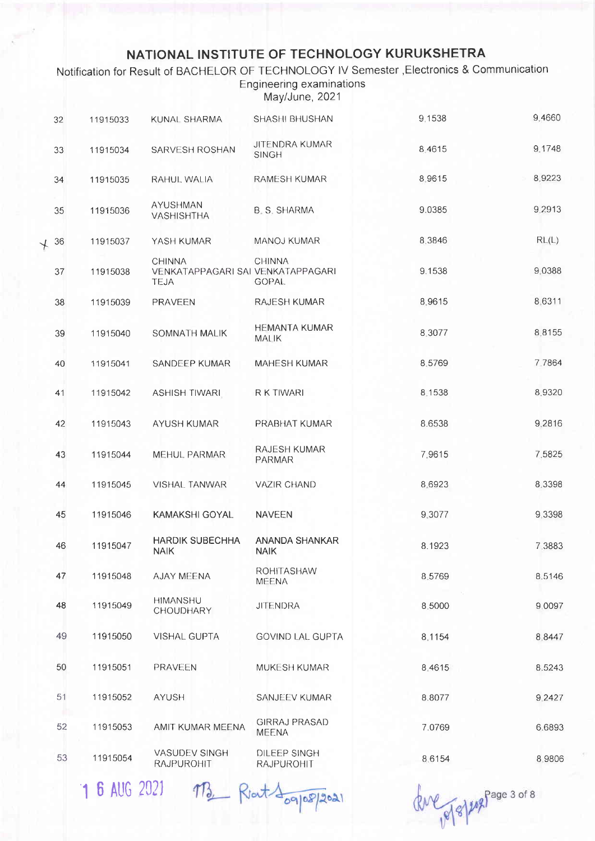Notification for Result of BACHELOR OF TECHNOLOGY IV Semester , Electronics & Communication Engineering examinations May/June, 2021

| 32 | 11915033 | KUNAL SHARMA                                               | <b>SHASHI BHUSHAN</b>                 | 9.1538 | 9.4660 |
|----|----------|------------------------------------------------------------|---------------------------------------|--------|--------|
| 33 | 11915034 | SARVESH ROSHAN                                             | <b>JITENDRA KUMAR</b><br><b>SINGH</b> | 8.4615 | 9.1748 |
| 34 | 11915035 | RAHUL WALIA                                                | <b>RAMESH KUMAR</b>                   | 8,9615 | 8.9223 |
| 35 | 11915036 | <b>AYUSHMAN</b><br><b>VASHISHTHA</b>                       | <b>B. S. SHARMA</b>                   | 9.0385 | 9.2913 |
| 36 | 11915037 | YASH KUMAR                                                 | MANOJ KUMAR                           | 8.3846 | RL(L)  |
| 37 | 11915038 | <b>CHINNA</b><br>VENKATAPPAGARI SAI VENKATAPPAGARI<br>TEJA | <b>CHINNA</b><br><b>GOPAL</b>         | 9.1538 | 9.0388 |
| 38 | 11915039 | <b>PRAVEEN</b>                                             | RAJESH KUMAR                          | 8.9615 | 8.6311 |
| 39 | 11915040 | SOMNATH MALIK                                              | <b>HEMANTA KUMAR</b><br>MALIK         | 8.3077 | 8.8155 |
| 40 | 11915041 | SANDEEP KUMAR                                              | <b>MAHESH KUMAR</b>                   | 8.5769 | 7.7864 |
| 41 | 11915042 | <b>ASHISH TIWARI</b>                                       | R K TIWARI                            | 8.1538 | 8.9320 |
| 42 | 11915043 | AYUSH KUMAR                                                | PRABHAT KUMAR                         | 8.6538 | 9.2816 |
| 43 | 11915044 | MEHUL PARMAR                                               | <b>RAJESH KUMAR</b><br>PARMAR         | 7.9615 | 7.5825 |
| 44 | 11915045 | VISHAL TANWAR                                              | <b>VAZIR CHAND</b>                    | 8.6923 | 8.3398 |
| 45 | 11915046 | <b>KAMAKSHI GOYAL</b>                                      | <b>NAVEEN</b>                         | 9.3077 | 9.3398 |
| 46 | 11915047 | <b>HARDIK SUBECHHA</b><br><b>NAIK</b>                      | ANANDA SHANKAR<br><b>NAIK</b>         | 8.1923 | 7,3883 |
| 47 | 11915048 | <b>AJAY MEENA</b>                                          | ROHITASHAW<br>MEENA                   | 8.5769 | 8.5146 |
| 48 | 11915049 | <b>HIMANSHU</b><br><b>CHOUDHARY</b>                        | <b>JITENDRA</b>                       | 8.5000 | 9.0097 |
| 49 | 11915050 | <b>VISHAL GUPTA</b>                                        | <b>GOVIND LAL GUPTA</b>               | 8.1154 | 8.8447 |
| 50 | 11915051 | PRAVEEN                                                    | MUKESH KUMAR                          | 8.4615 | 8.5243 |
| 51 | 11915052 | AYUSH                                                      | SANJEEV KUMAR                         | 8.8077 | 9.2427 |
| 52 | 11915053 | AMIT KUMAR MEENA                                           | <b>GIRRAJ PRASAD</b><br><b>MEENA</b>  | 7.0769 | 6.6893 |
| 53 | 11915054 | VASUDEV SINGH<br>RAJPUROHIT                                | DILEEP SINGH<br>RAJPUROHIT            | 8.6154 | 8 9806 |
|    |          |                                                            |                                       |        |        |

1 6 AUG 2021 13 Rout 109/2021

Que pp 8 / 2008 Page 3 of 8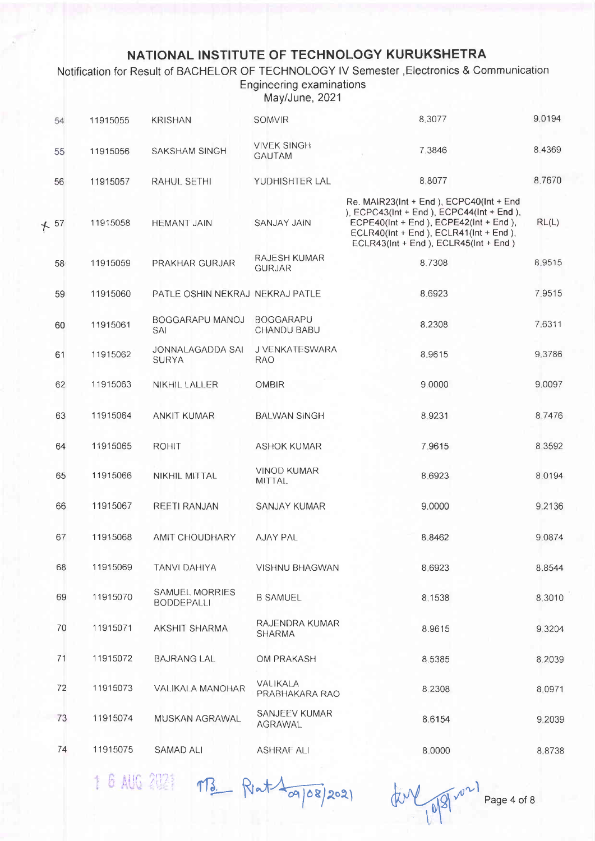### Notification for Result of BACHELOR OF TECHNOLOGY IV Semester , Electronics & Communication Engineering examinations

May/June, 2021

| 54    | 11915055 | <b>KRISHAN</b>                          | <b>SOMVIR</b>                       | 8.3077                                                                                                                                                                                                          | 9.0194 |
|-------|----------|-----------------------------------------|-------------------------------------|-----------------------------------------------------------------------------------------------------------------------------------------------------------------------------------------------------------------|--------|
| 55    | 11915056 | SAKSHAM SINGH                           | <b>VIVEK SINGH</b><br><b>GAUTAM</b> | 7.3846                                                                                                                                                                                                          | 8.4369 |
| 56    | 11915057 | RAHUL SETHI                             | YUDHISHTER LAL                      | 8.8077                                                                                                                                                                                                          | 8.7670 |
| $+57$ | 11915058 | <b>HEMANT JAIN</b>                      | <b>SANJAY JAIN</b>                  | Re. MAIR23(Int + End), ECPC40(Int + End<br>), ECPC43(Int + End), ECPC44(Int + End),<br>ECPE40(Int + End), ECPE42(Int + End),<br>ECLR40(Int + End ), ECLR41(Int + End ),<br>ECLR43(Int + End), ECLR45(Int + End) | RL(L)  |
| 58    | 11915059 | PRAKHAR GURJAR                          | RAJESH KUMAR<br><b>GURJAR</b>       | 8.7308                                                                                                                                                                                                          | 8.9515 |
| 59    | 11915060 | PATLE OSHIN NEKRAJ NEKRAJ PATLE         |                                     | 8.6923                                                                                                                                                                                                          | 7.9515 |
| 60    | 11915061 | BOGGARAPU MANOJ<br>SAI                  | <b>BOGGARAPU</b><br>CHANDU BABU     | 8.2308                                                                                                                                                                                                          | 7.6311 |
| 61    | 11915062 | <b>JONNALAGADDA SAI</b><br><b>SURYA</b> | J VENKATESWARA<br><b>RAO</b>        | 8.9615                                                                                                                                                                                                          | 9.3786 |
| 62    | 11915063 | NIKHIL LALLER                           | <b>OMBIR</b>                        | 9.0000                                                                                                                                                                                                          | 9.0097 |
| 63    | 11915064 | <b>ANKIT KUMAR</b>                      | <b>BALWAN SINGH</b>                 | 8.9231                                                                                                                                                                                                          | 8.7476 |
| 64    | 11915065 | <b>ROHIT</b>                            | <b>ASHOK KUMAR</b>                  | 7.9615                                                                                                                                                                                                          | 8.3592 |
| 65    | 11915066 | NIKHIL MITTAL                           | <b>VINOD KUMAR</b><br><b>MITTAL</b> | 8.6923                                                                                                                                                                                                          | 8.0194 |
| 66    | 11915067 | <b>REETI RANJAN</b>                     | <b>SANJAY KUMAR</b>                 | 9.0000                                                                                                                                                                                                          | 9.2136 |
| 67    | 11915068 | AMIT CHOUDHARY                          | <b>AJAY PAL</b>                     | 8.8462                                                                                                                                                                                                          | 9.0874 |
| 68    | 11915069 | <b>TANVI DAHIYA</b>                     | VISHNU BHAGWAN                      | 8.6923                                                                                                                                                                                                          | 8.8544 |
| 69    | 11915070 | SAMUEL MORRIES<br><b>BODDEPALLI</b>     | <b>B SAMUEL</b>                     | 8.1538                                                                                                                                                                                                          | 8.3010 |
| 70    | 11915071 | AKSHIT SHARMA                           | RAJENDRA KUMAR<br><b>SHARMA</b>     | 8.9615                                                                                                                                                                                                          | 9.3204 |
| 71    | 11915072 | <b>BAJRANG LAL</b>                      | OM PRAKASH                          | 8.5385                                                                                                                                                                                                          | 8.2039 |
| 72    | 11915073 | VALIKALA MANOHAR                        | VALIKALA<br>PRABHAKARA RAO          | 8.2308                                                                                                                                                                                                          | 8.0971 |
| 73    | 11915074 | MUSKAN AGRAWAL                          | SANJEEV KUMAR<br>AGRAWAL            | 8.6154                                                                                                                                                                                                          | 9,2039 |
| 74    | 11915075 | <b>SAMAD ALI</b>                        | <b>ASHRAF ALI</b>                   | 8.0000                                                                                                                                                                                                          | 8.8738 |
|       |          |                                         |                                     |                                                                                                                                                                                                                 |        |

1 6 AUG 2021 MB Rat 109/08/2021

time ppm

Page 4 of 8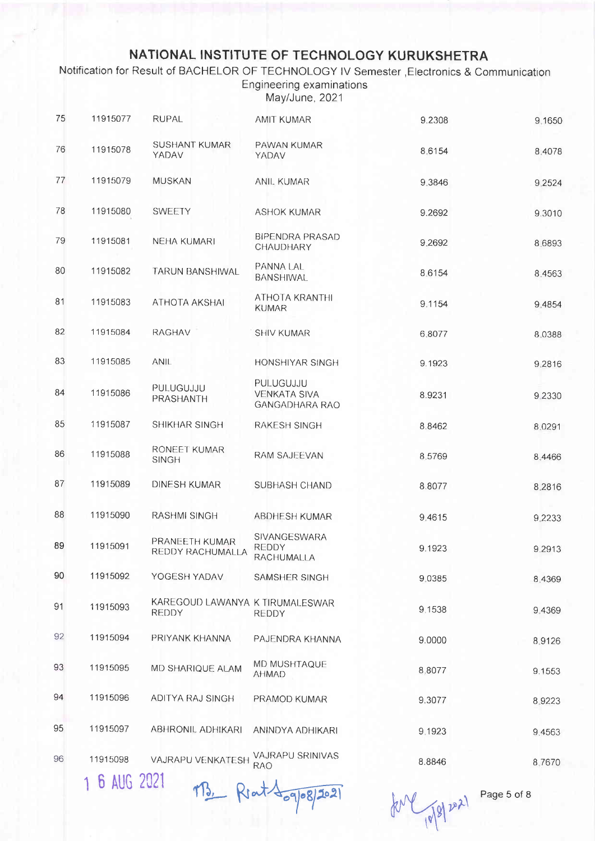Notification for Result of BACHELOR OF TECHNOLOGY IV Semester Electronics & Communication Engineering examinations

May/June, 2021

| 75 | 11915077 | <b>RUPAL</b>                                    | <b>AMIT KUMAR</b>                                         | 9.2308 | 9.1650 |
|----|----------|-------------------------------------------------|-----------------------------------------------------------|--------|--------|
| 76 | 11915078 | <b>SUSHANT KUMAR</b><br>YADAV                   | PAWAN KUMAR<br>YADAV                                      | 8.6154 | 8.4078 |
| 77 | 11915079 | <b>MUSKAN</b>                                   | ANIL KUMAR                                                | 9.3846 | 9.2524 |
| 78 | 11915080 | <b>SWEETY</b>                                   | <b>ASHOK KUMAR</b>                                        | 9.2692 | 9.3010 |
| 79 | 11915081 | <b>NEHA KUMARI</b>                              | <b>BIPENDRA PRASAD</b><br>CHAUDHARY                       | 9.2692 | 8.6893 |
| 80 | 11915082 | <b>TARUN BANSHIWAL</b>                          | PANNA LAL<br><b>BANSHIWAL</b>                             | 8.6154 | 8.4563 |
| 81 | 11915083 | ATHOTA AKSHAI                                   | ATHOTA KRANTHI<br><b>KUMAR</b>                            | 9.1154 | 9.4854 |
| 82 | 11915084 | <b>RAGHAV</b>                                   | <b>SHIV KUMAR</b>                                         | 6.8077 | 8.0388 |
| 83 | 11915085 | <b>ANIL</b>                                     | HONSHIYAR SINGH                                           | 9.1923 | 9.2816 |
| 84 | 11915086 | PULUGUJJU<br>PRASHANTH                          | PULUGUJJU<br><b>VENKATA SIVA</b><br><b>GANGADHARA RAO</b> | 8.9231 | 9.2330 |
| 85 | 11915087 | SHIKHAR SINGH                                   | RAKESH SINGH                                              | 8.8462 | 8.0291 |
| 86 | 11915088 | RONEET KUMAR<br><b>SINGH</b>                    | RAM SAJEEVAN                                              | 8.5769 | 8,4466 |
| 87 | 11915089 | <b>DINESH KUMAR</b>                             | SUBHASH CHAND                                             | 8.8077 | 8.2816 |
| 88 | 11915090 | RASHMI SINGH                                    | ABDHESH KUMAR                                             | 9.4615 | 9.2233 |
| 89 | 11915091 | PRANEETH KUMAR<br>REDDY RACHUMALLA              | SIVANGESWARA<br><b>REDDY</b><br>RACHUMALLA                | 9.1923 | 9.2913 |
| 90 | 11915092 | YOGESH YADAV                                    | SAMSHER SINGH                                             | 9.0385 | 8,4369 |
| 91 | 11915093 | KAREGOUD LAWANYA K TIRUMALESWAR<br><b>REDDY</b> | REDDY                                                     | 9.1538 | 9.4369 |
| 92 | 11915094 | PRIYANK KHANNA                                  | PAJENDRA KHANNA                                           | 9.0000 | 8.9126 |
| 93 | 11915095 | MD SHARIQUE ALAM                                | <b>MD MUSHTAQUE</b><br><b>AHMAD</b>                       | 8,8077 | 9.1553 |
| 94 | 11915096 | ADITYA RAJ SINGH                                | PRAMOD KUMAR                                              | 9.3077 | 8.9223 |
| 95 | 11915097 | <b>ABHRONIL ADHIKARI</b>                        | ANINDYA ADHIKARI                                          | 9.1923 | 9.4563 |
| 96 | 11915098 | VAJRAPU VENKATESH                               | VAJRAPU SRINIVAS<br><b>RAO</b>                            | 8.8846 | 8.7670 |

1 6 AUG 2021 MB. Rout 109/08/2021

tone 18/01 by

Page 5 of 8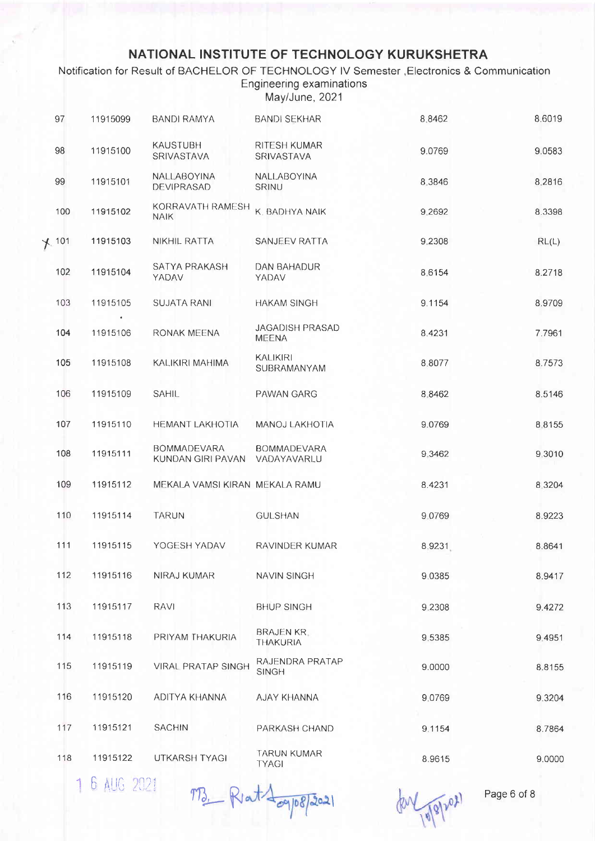Notification for Result of BACHELOR OF TECHNOLOGY IV Semester , Electronics & Communication **Engineering examinations** May/June, 2021

| 97    | 11915099 | <b>BANDI RAMYA</b>                                  | <b>BANDI SEKHAR</b>                    | 8.8462 | 8.6019 |
|-------|----------|-----------------------------------------------------|----------------------------------------|--------|--------|
| 98    | 11915100 | <b>KAUSTUBH</b><br>SRIVASTAVA                       | RITESH KUMAR<br><b>SRIVASTAVA</b>      | 9.0769 | 9.0583 |
| 99    | 11915101 | <b>NALLABOYINA</b><br>DEVIPRASAD                    | NALLABOYINA<br>SRINU                   | 8.3846 | 8.2816 |
| 100   | 11915102 | KORRAVATH RAMESH<br><b>NAIK</b>                     | K. BADHYA NAIK                         | 9.2692 | 8.3398 |
| × 101 | 11915103 | <b>NIKHIL RATTA</b>                                 | SANJEEV RATTA                          | 9.2308 | RL(L)  |
| 102   | 11915104 | SATYA PRAKASH<br>YADAV                              | DAN BAHADUR<br>YADAV                   | 8.6154 | 8.2718 |
| 103   | 11915105 | <b>SUJATA RANI</b>                                  | <b>HAKAM SINGH</b>                     | 9.1154 | 8.9709 |
| 104   | 11915106 | RONAK MEENA                                         | <b>JAGADISH PRASAD</b><br><b>MEENA</b> | 8.4231 | 7.7961 |
| 105   | 11915108 | KALIKIRI MAHIMA                                     | <b>KALIKIRI</b><br>SUBRAMANYAM         | 8.8077 | 8.7573 |
| 106   | 11915109 | <b>SAHIL</b>                                        | PAWAN GARG                             | 8.8462 | 8.5146 |
| 107   | 11915110 | <b>HEMANT LAKHOTIA</b>                              | MANOJ LAKHOTIA                         | 9.0769 | 8.8155 |
| 108   | 11915111 | <b>BOMMADEVARA</b><br>KUNDAN GIRI PAVAN VADAYAVARLU | <b>BOMMADEVARA</b>                     | 9.3462 | 9.3010 |
| 109   | 11915112 | MEKALA VAMSI KIRAN MEKALA RAMU                      |                                        | 8.4231 | 8.3204 |
| 110   | 11915114 | <b>TARUN</b>                                        | <b>GULSHAN</b>                         | 9.0769 | 8.9223 |
| 111   | 11915115 | YOGESH YADAV                                        | RAVINDER KUMAR                         | 8.9231 | 8.8641 |
| 112   | 11915116 | NIRAJ KUMAR                                         | NAVIN SINGH                            | 9.0385 | 8.9417 |
| 113   | 11915117 | <b>RAVI</b>                                         | <b>BHUP SINGH</b>                      | 9.2308 | 9.4272 |
| 114   | 11915118 | PRIYAM THAKURIA                                     | <b>BRAJEN KR.</b><br><b>THAKURIA</b>   | 9.5385 | 9.4951 |
| 115   | 11915119 | <b>VIRAL PRATAP SINGH</b>                           | RAJENDRA PRATAP<br><b>SINGH</b>        | 9.0000 | 8.8155 |
| 116   | 11915120 | ADITYA KHANNA                                       | AJAY KHANNA                            | 9.0769 | 9.3204 |
| 117   | 11915121 | <b>SACHIN</b>                                       | PARKASH CHAND                          | 9.1154 | 8.7864 |
| 118   | 11915122 | UTKARSH TYAGI                                       | <b>TARUN KUMAR</b><br><b>TYAGI</b>     | 8.9615 | 9.0000 |
|       |          |                                                     |                                        |        |        |

1 6 AUG 2021

M. Rat Logp8/2021

 $(80 - 18)$ 

Page 6 of 8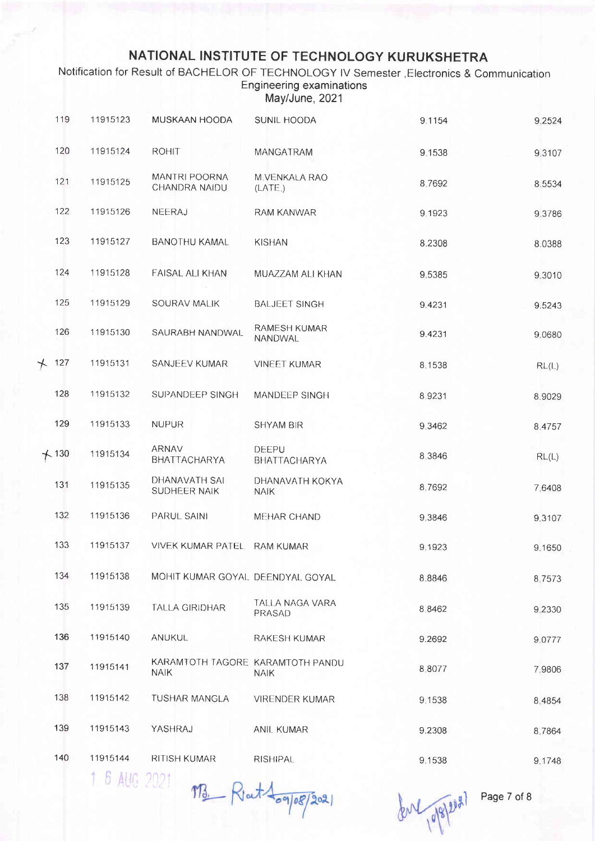Notification for Result of BACHELOR OF TECHNOLOGY IV Semester , Electronics & Communication **Engineering examinations** May/June, 2021

| 119     | 11915123                                             | MUSKAAN HOODA                                   | SUNIL HOODA                    | 9.1154 | 9,2524    |
|---------|------------------------------------------------------|-------------------------------------------------|--------------------------------|--------|-----------|
| 120     | 11915124                                             | <b>ROHIT</b>                                    | MANGATRAM                      | 9.1538 | 9,3107    |
| 121     | 11915125                                             | MANTRI POORNA<br>CHANDRA NAIDU                  | M. VENKALA RAO<br>(LATE)       | 8.7692 | 8.5534    |
| 122     | 11915126                                             | NEERAJ                                          | <b>RAM KANWAR</b>              | 9.1923 | 9.3786    |
| 123     | 11915127                                             | <b>BANOTHU KAMAL</b>                            | <b>KISHAN</b>                  | 8.2308 | 8.0388    |
| 124     | 11915128                                             | FAISAL ALI KHAN                                 | MUAZZAM ALI KHAN               | 9.5385 | 9,3010    |
| 125     | 11915129                                             | SOURAV MALIK                                    | <b>BALJEET SINGH</b>           | 9.4231 | 9.5243    |
| 126     | 11915130                                             | SAURABH NANDWAL                                 | RAMESH KUMAR<br><b>NANDWAL</b> | 9.4231 | 9.0680    |
| $+ 127$ | 11915131                                             | SANJEEV KUMAR                                   | <b>VINEET KUMAR</b>            | 8.1538 | RL(L)     |
| 128     | 11915132                                             | SUPANDEEP SINGH                                 | MANDEEP SINGH                  | 8.9231 | 8.9029    |
| 129     | 11915133                                             | <b>NUPUR</b>                                    | SHYAM BIR                      | 9,3462 | 8.4757    |
| $+130$  | 11915134                                             | ARNAV<br>BHATTACHARYA                           | DEEPU<br>BHATTACHARYA          | 8,3846 | RL(L)     |
| 131     | 11915135                                             | DHANAVATH SAI<br>SUDHEER NAIK                   | DHANAVATH KOKYA<br><b>NAIK</b> | 8.7692 | 7.6408    |
| 132     | 11915136                                             | PARUL SAINI                                     | MEHAR CHAND                    | 9.3846 | 9,3107    |
| 133     | 11915137                                             | <b>VIVEK KUMAR PATEL</b>                        | <b>RAM KUMAR</b>               | 9.1923 | 9.1650    |
| 134     | 11915138                                             | MOHIT KUMAR GOYAL DEENDYAL GOYAL                |                                | 8.8846 | 8.7573    |
| 135     | 11915139                                             | TALLA GIRIDHAR                                  | TALLA NAGA VARA<br>PRASAD      | 8.8462 | 9 2 3 3 0 |
| 136     | 11915140                                             | <b>ANUKUL</b>                                   | <b>RAKESH KUMAR</b>            | 9.2692 | 9.0777    |
| 137     | 11915141                                             | KARAMTOTH TAGORE KARAMTOTH PANDU<br><b>NAIK</b> | <b>NAIK</b>                    | 8.8077 | 7.9806    |
| 138     | 11915142                                             | TUSHAR MANGLA                                   | <b>VIRENDER KUMAR</b>          | 9.1538 | 8.4854    |
| 139     | 11915143                                             | YASHRAJ                                         | <b>ANIL KUMAR</b>              | 9.2308 | 8.7864    |
| 140     | 11915144<br>$1 \nR$ $\frac{11}{10}$ $\frac{10}{101}$ | RITISH KUMAR                                    | <b>RISHIPAL</b>                | 9.1538 | 9.1748    |
|         |                                                      |                                                 |                                |        |           |

8 AUG 2021 MB Rout togloss 2021

for 19/8/2021

Page 7 of 8